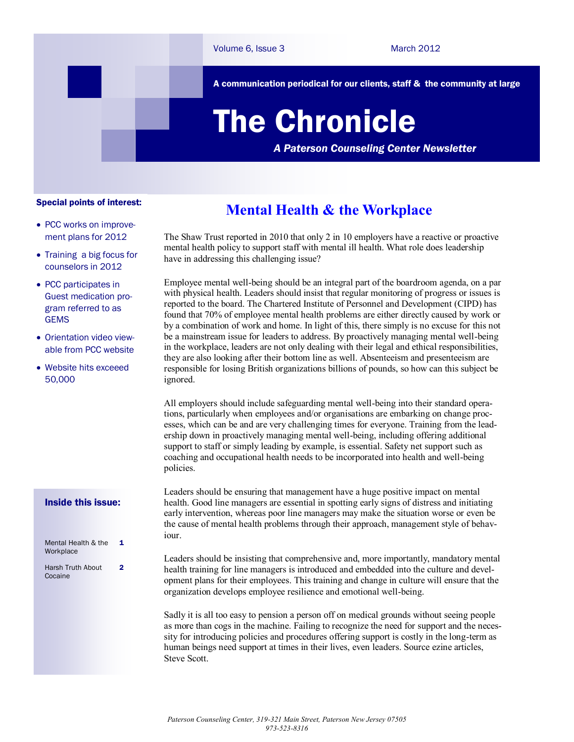A communication periodical for our clients, staff & the community at large

# The Chronicle

*A Paterson Counseling Center Newsletter*

### Special points of interest:

- PCC works on improvement plans for 2012
- Training a big focus for counselors in 2012
- PCC participates in Guest medication program referred to as **GEMS**
- Orientation video viewable from PCC website
- Website hits exceeed 50,000

#### Inside this issue:

| Mental Health & the<br>Workplace | 1 |
|----------------------------------|---|
| Harsh Truth About<br>Cocaine     | 2 |

### **Mental Health & the Workplace**

The Shaw Trust reported in 2010 that only 2 in 10 employers have a reactive or proactive mental health policy to support staff with mental ill health. What role does leadership have in addressing this challenging issue?

Employee mental well-being should be an integral part of the boardroom agenda, on a par with physical health. Leaders should insist that regular monitoring of progress or issues is reported to the board. The Chartered Institute of Personnel and Development (CIPD) has found that 70% of employee mental health problems are either directly caused by work or by a combination of work and home. In light of this, there simply is no excuse for this not be a mainstream issue for leaders to address. By proactively managing mental well-being in the workplace, leaders are not only dealing with their legal and ethical responsibilities, they are also looking after their bottom line as well. Absenteeism and presenteeism are responsible for losing British organizations billions of pounds, so how can this subject be ignored.

All employers should include safeguarding mental well-being into their standard operations, particularly when employees and/or organisations are embarking on change processes, which can be and are very challenging times for everyone. Training from the leadership down in proactively managing mental well-being, including offering additional support to staff or simply leading by example, is essential. Safety net support such as coaching and occupational health needs to be incorporated into health and well-being policies.

Leaders should be ensuring that management have a huge positive impact on mental health. Good line managers are essential in spotting early signs of distress and initiating early intervention, whereas poor line managers may make the situation worse or even be the cause of mental health problems through their approach, management style of behaviour.

Leaders should be insisting that comprehensive and, more importantly, mandatory mental health training for line managers is introduced and embedded into the culture and development plans for their employees. This training and change in culture will ensure that the organization develops employee resilience and emotional well-being.

Sadly it is all too easy to pension a person off on medical grounds without seeing people as more than cogs in the machine. Failing to recognize the need for support and the necessity for introducing policies and procedures offering support is costly in the long-term as human beings need support at times in their lives, even leaders. Source ezine articles, Steve Scott.